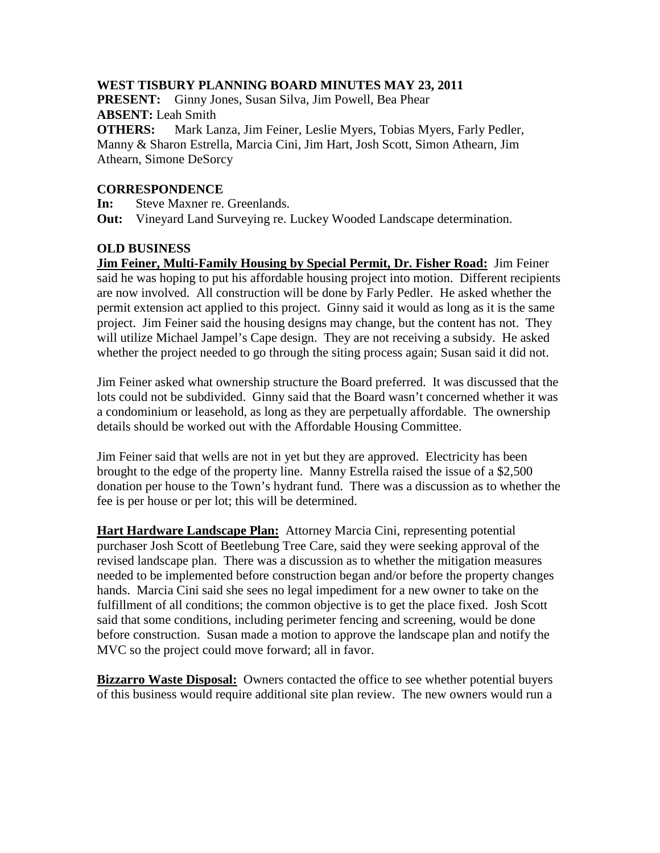### **WEST TISBURY PLANNING BOARD MINUTES MAY 23, 2011**

**PRESENT:** Ginny Jones, Susan Silva, Jim Powell, Bea Phear **ABSENT:** Leah Smith

**OTHERS:** Mark Lanza, Jim Feiner, Leslie Myers, Tobias Myers, Farly Pedler, Manny & Sharon Estrella, Marcia Cini, Jim Hart, Josh Scott, Simon Athearn, Jim Athearn, Simone DeSorcy

### **CORRESPONDENCE**

**In:** Steve Maxner re. Greenlands.

**Out:** Vineyard Land Surveying re. Luckey Wooded Landscape determination.

# **OLD BUSINESS**

**Jim Feiner, Multi-Family Housing by Special Permit, Dr. Fisher Road:** Jim Feiner said he was hoping to put his affordable housing project into motion. Different recipients are now involved. All construction will be done by Farly Pedler. He asked whether the permit extension act applied to this project. Ginny said it would as long as it is the same project. Jim Feiner said the housing designs may change, but the content has not. They will utilize Michael Jampel's Cape design. They are not receiving a subsidy. He asked whether the project needed to go through the siting process again; Susan said it did not.

Jim Feiner asked what ownership structure the Board preferred. It was discussed that the lots could not be subdivided. Ginny said that the Board wasn't concerned whether it was a condominium or leasehold, as long as they are perpetually affordable. The ownership details should be worked out with the Affordable Housing Committee.

Jim Feiner said that wells are not in yet but they are approved. Electricity has been brought to the edge of the property line. Manny Estrella raised the issue of a \$2,500 donation per house to the Town's hydrant fund. There was a discussion as to whether the fee is per house or per lot; this will be determined.

**Hart Hardware Landscape Plan:** Attorney Marcia Cini, representing potential purchaser Josh Scott of Beetlebung Tree Care, said they were seeking approval of the revised landscape plan. There was a discussion as to whether the mitigation measures needed to be implemented before construction began and/or before the property changes hands. Marcia Cini said she sees no legal impediment for a new owner to take on the fulfillment of all conditions; the common objective is to get the place fixed. Josh Scott said that some conditions, including perimeter fencing and screening, would be done before construction. Susan made a motion to approve the landscape plan and notify the MVC so the project could move forward; all in favor.

**Bizzarro Waste Disposal:** Owners contacted the office to see whether potential buyers of this business would require additional site plan review. The new owners would run a